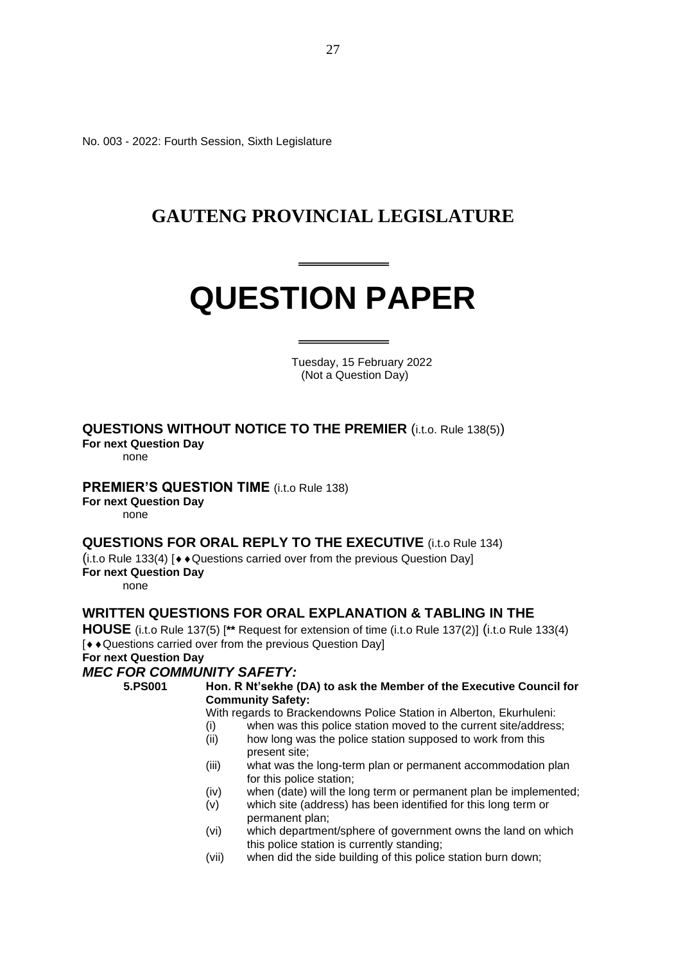No. 003 - 2022: Fourth Session, Sixth Legislature

# **GAUTENG PROVINCIAL LEGISLATURE**

# **QUESTION PAPER**

 Tuesday, 15 February 2022 (Not a Question Day)

# **QUESTIONS WITHOUT NOTICE TO THE PREMIER (i.t.o. Rule 138(5))**

**For next Question Day**

none

# **PREMIER'S QUESTION TIME** (i.t.o Rule 138)

**For next Question Day**

none

# **QUESTIONS FOR ORAL REPLY TO THE EXECUTIVE** (i.t.o Rule 134)

 $(i.t. o Rule 133(4)$  [ $\rightarrow$  Questions carried over from the previous Question Day] **For next Question Day**

none

# **WRITTEN QUESTIONS FOR ORAL EXPLANATION & TABLING IN THE**

**HOUSE** (i.t.o Rule 137(5) [**\*\*** Request for extension of time (i.t.o Rule 137(2)] (i.t.o Rule 133(4)  $[$   $\leftrightarrow$  Questions carried over from the previous Question Day] **For next Question Day**

# *MEC FOR COMMUNITY SAFETY:*

**5.PS001 Hon. R Nt'sekhe (DA) to ask the Member of the Executive Council for Community Safety:**

With regards to Brackendowns Police Station in Alberton, Ekurhuleni:

- (i) when was this police station moved to the current site/address;
- (ii) how long was the police station supposed to work from this present site;
- (iii) what was the long-term plan or permanent accommodation plan for this police station;
- (iv) when (date) will the long term or permanent plan be implemented;
- (v) which site (address) has been identified for this long term or permanent plan;
- (vi) which department/sphere of government owns the land on which this police station is currently standing;
- (vii) when did the side building of this police station burn down;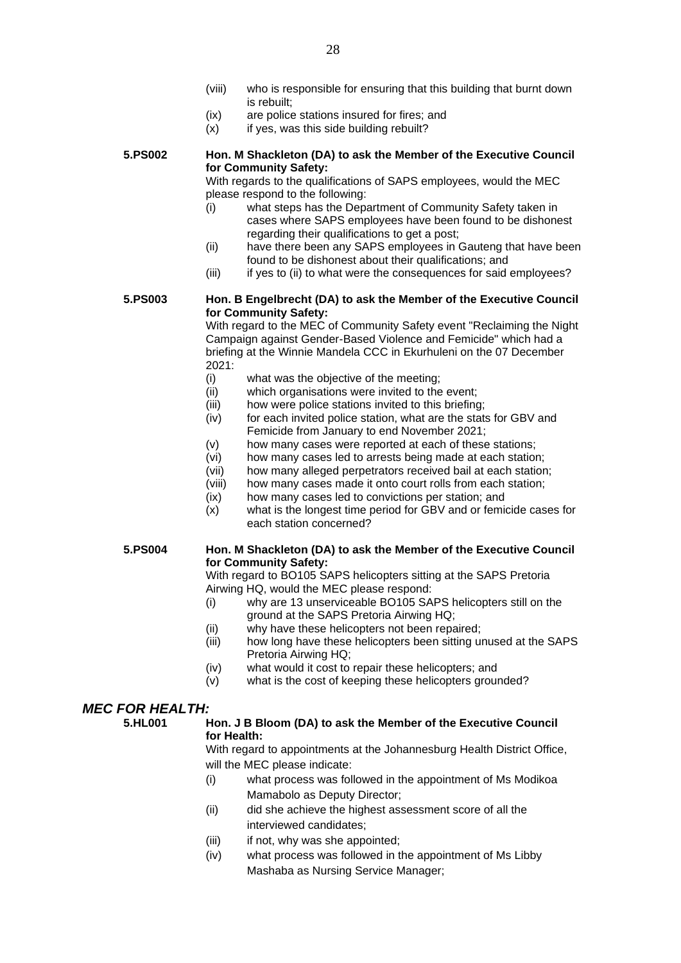- (viii) who is responsible for ensuring that this building that burnt down is rebuilt;
- (ix) are police stations insured for fires; and
- $(x)$  if yes, was this side building rebuilt?

**5.PS002 Hon. M Shackleton (DA) to ask the Member of the Executive Council for Community Safety:**

With regards to the qualifications of SAPS employees, would the MEC please respond to the following:

- (i) what steps has the Department of Community Safety taken in cases where SAPS employees have been found to be dishonest regarding their qualifications to get a post:
- (ii) have there been any SAPS employees in Gauteng that have been found to be dishonest about their qualifications; and
- (iii) if yes to (ii) to what were the consequences for said employees?

**5.PS003 Hon. B Engelbrecht (DA) to ask the Member of the Executive Council for Community Safety:**

With regard to the MEC of Community Safety event "Reclaiming the Night Campaign against Gender-Based Violence and Femicide" which had a briefing at the Winnie Mandela CCC in Ekurhuleni on the 07 December 2021:

- (i) what was the objective of the meeting;
- (ii) which organisations were invited to the event;
- (iii) how were police stations invited to this briefing;
- (iv) for each invited police station, what are the stats for GBV and Femicide from January to end November 2021;
- (v) how many cases were reported at each of these stations;
- (vi) how many cases led to arrests being made at each station;
- (vii) how many alleged perpetrators received bail at each station;
- (viii) how many cases made it onto court rolls from each station;
- (ix) how many cases led to convictions per station; and
- (x) what is the longest time period for GBV and or femicide cases for each station concerned?

## **5.PS004 Hon. M Shackleton (DA) to ask the Member of the Executive Council for Community Safety:**

With regard to BO105 SAPS helicopters sitting at the SAPS Pretoria Airwing HQ, would the MEC please respond:

- (i) why are 13 unserviceable BO105 SAPS helicopters still on the ground at the SAPS Pretoria Airwing HQ;
- (ii) why have these helicopters not been repaired;
- (iii) how long have these helicopters been sitting unused at the SAPS Pretoria Airwing HQ;
- (iv) what would it cost to repair these helicopters; and
- (v) what is the cost of keeping these helicopters grounded?

# *MEC FOR HEALTH:*

# **5.HL001 Hon. J B Bloom (DA) to ask the Member of the Executive Council for Health:**

With regard to appointments at the Johannesburg Health District Office, will the MEC please indicate:

- (i) what process was followed in the appointment of Ms Modikoa Mamabolo as Deputy Director;
- (ii) did she achieve the highest assessment score of all the interviewed candidates;
- (iii) if not, why was she appointed;
- (iv) what process was followed in the appointment of Ms Libby Mashaba as Nursing Service Manager;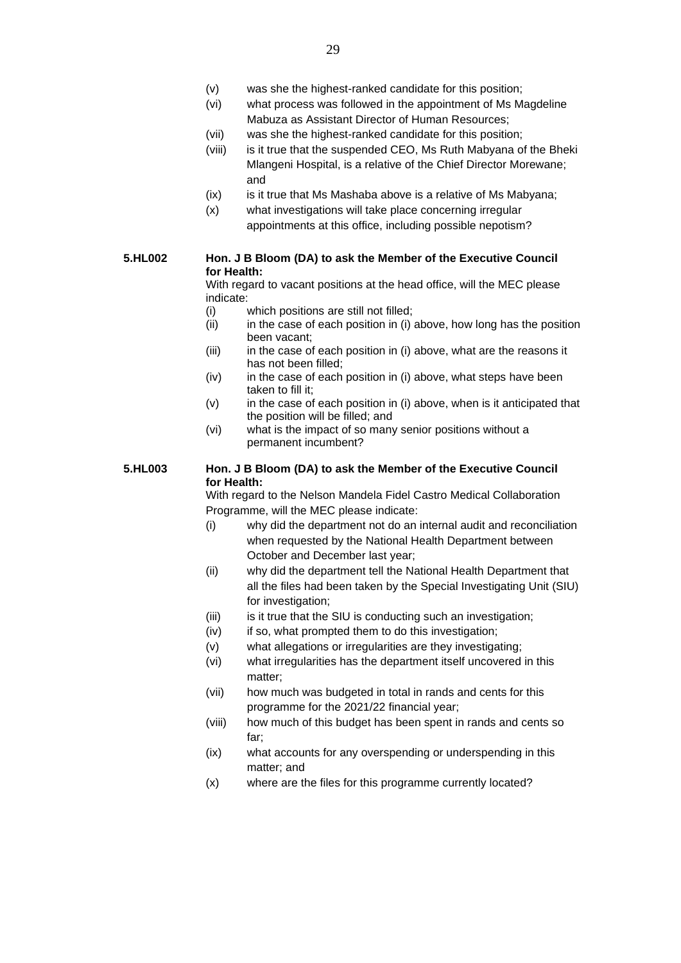- (vi) what process was followed in the appointment of Ms Magdeline Mabuza as Assistant Director of Human Resources;
- (vii) was she the highest-ranked candidate for this position;
- (viii) is it true that the suspended CEO, Ms Ruth Mabyana of the Bheki Mlangeni Hospital, is a relative of the Chief Director Morewane; and
- (ix) is it true that Ms Mashaba above is a relative of Ms Mabyana;
- (x) what investigations will take place concerning irregular appointments at this office, including possible nepotism?

# **5.HL002 Hon. J B Bloom (DA) to ask the Member of the Executive Council for Health:**

With regard to vacant positions at the head office, will the MEC please indicate:

- (i) which positions are still not filled;
- (ii) in the case of each position in (i) above, how long has the position been vacant;
- (iii) in the case of each position in (i) above, what are the reasons it has not been filled;
- $(iv)$  in the case of each position in (i) above, what steps have been taken to fill it;
- (v) in the case of each position in (i) above, when is it anticipated that the position will be filled; and
- (vi) what is the impact of so many senior positions without a permanent incumbent?

# **5.HL003 Hon. J B Bloom (DA) to ask the Member of the Executive Council for Health:**

With regard to the Nelson Mandela Fidel Castro Medical Collaboration Programme, will the MEC please indicate:

- (i) why did the department not do an internal audit and reconciliation when requested by the National Health Department between October and December last year;
- (ii) why did the department tell the National Health Department that all the files had been taken by the Special Investigating Unit (SIU) for investigation;
- (iii) is it true that the SIU is conducting such an investigation;
- (iv) if so, what prompted them to do this investigation;
- (v) what allegations or irregularities are they investigating;
- (vi) what irregularities has the department itself uncovered in this matter;
- (vii) how much was budgeted in total in rands and cents for this programme for the 2021/22 financial year;
- (viii) how much of this budget has been spent in rands and cents so far;
- (ix) what accounts for any overspending or underspending in this matter; and
- (x) where are the files for this programme currently located?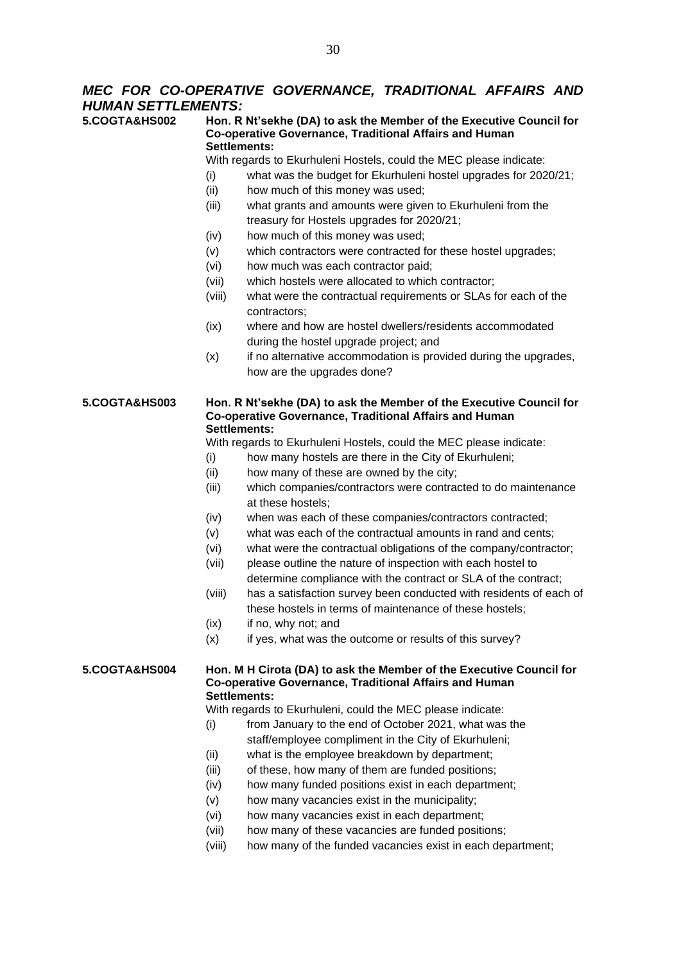# *MEC FOR CO-OPERATIVE GOVERNANCE, TRADITIONAL AFFAIRS AND HUMAN SETTLEMENTS:*

**5.COGTA&HS002 Hon. R Nt'sekhe (DA) to ask the Member of the Executive Council for Co-operative Governance, Traditional Affairs and Human Settlements:**

With regards to Ekurhuleni Hostels, could the MEC please indicate:

- (i) what was the budget for Ekurhuleni hostel upgrades for 2020/21;
- (ii) how much of this money was used;
- (iii) what grants and amounts were given to Ekurhuleni from the treasury for Hostels upgrades for 2020/21;
- (iv) how much of this money was used;
- (v) which contractors were contracted for these hostel upgrades;
- (vi) how much was each contractor paid;
- (vii) which hostels were allocated to which contractor;
- (viii) what were the contractual requirements or SLAs for each of the contractors;
- (ix) where and how are hostel dwellers/residents accommodated during the hostel upgrade project; and
- (x) if no alternative accommodation is provided during the upgrades, how are the upgrades done?

# **5.COGTA&HS003 Hon. R Nt'sekhe (DA) to ask the Member of the Executive Council for Co-operative Governance, Traditional Affairs and Human Settlements:**

With regards to Ekurhuleni Hostels, could the MEC please indicate:

- (i) how many hostels are there in the City of Ekurhuleni;
- (ii) how many of these are owned by the city;
- (iii) which companies/contractors were contracted to do maintenance at these hostels;
- (iv) when was each of these companies/contractors contracted;
- (v) what was each of the contractual amounts in rand and cents;
- (vi) what were the contractual obligations of the company/contractor;
- (vii) please outline the nature of inspection with each hostel to determine compliance with the contract or SLA of the contract;
- (viii) has a satisfaction survey been conducted with residents of each of these hostels in terms of maintenance of these hostels;
- (ix) if no, why not; and
- $(x)$  if yes, what was the outcome or results of this survey?

# **5.COGTA&HS004 Hon. M H Cirota (DA) to ask the Member of the Executive Council for Co-operative Governance, Traditional Affairs and Human Settlements:**

With regards to Ekurhuleni, could the MEC please indicate:

- (i) from January to the end of October 2021, what was the staff/employee compliment in the City of Ekurhuleni;
- (ii) what is the employee breakdown by department;
- (iii) of these, how many of them are funded positions;
- (iv) how many funded positions exist in each department;
- (v) how many vacancies exist in the municipality;
- (vi) how many vacancies exist in each department;
- (vii) how many of these vacancies are funded positions;
- (viii) how many of the funded vacancies exist in each department;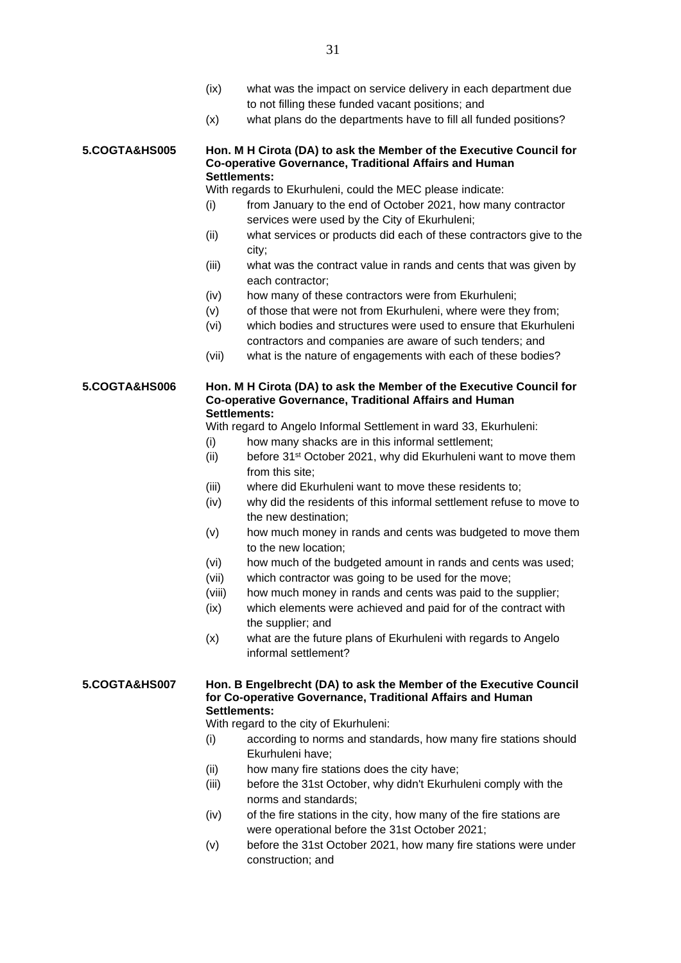- (ix) what was the impact on service delivery in each department due to not filling these funded vacant positions; and
- (x) what plans do the departments have to fill all funded positions?

### **5.COGTA&HS005 Hon. M H Cirota (DA) to ask the Member of the Executive Council for Co-operative Governance, Traditional Affairs and Human Settlements:**

With regards to Ekurhuleni, could the MEC please indicate:

- (i) from January to the end of October 2021, how many contractor services were used by the City of Ekurhuleni;
- (ii) what services or products did each of these contractors give to the city;
- (iii) what was the contract value in rands and cents that was given by each contractor;
- (iv) how many of these contractors were from Ekurhuleni;
- (v) of those that were not from Ekurhuleni, where were they from;
- (vi) which bodies and structures were used to ensure that Ekurhuleni contractors and companies are aware of such tenders; and
- (vii) what is the nature of engagements with each of these bodies?

## **5.COGTA&HS006 Hon. M H Cirota (DA) to ask the Member of the Executive Council for Co-operative Governance, Traditional Affairs and Human Settlements:**

With regard to Angelo Informal Settlement in ward 33, Ekurhuleni:

- (i) how many shacks are in this informal settlement;
- (ii) before 31<sup>st</sup> October 2021, why did Ekurhuleni want to move them from this site;
- (iii) where did Ekurhuleni want to move these residents to;
- (iv) why did the residents of this informal settlement refuse to move to the new destination;
- (v) how much money in rands and cents was budgeted to move them to the new location;
- (vi) how much of the budgeted amount in rands and cents was used;
- (vii) which contractor was going to be used for the move;
- (viii) how much money in rands and cents was paid to the supplier;
- (ix) which elements were achieved and paid for of the contract with the supplier; and
- (x) what are the future plans of Ekurhuleni with regards to Angelo informal settlement?

# **5.COGTA&HS007 Hon. B Engelbrecht (DA) to ask the Member of the Executive Council for Co-operative Governance, Traditional Affairs and Human Settlements:**

With regard to the city of Ekurhuleni:

- (i) according to norms and standards, how many fire stations should Ekurhuleni have;
- (ii) how many fire stations does the city have;
- (iii) before the 31st October, why didn't Ekurhuleni comply with the norms and standards;
- (iv) of the fire stations in the city, how many of the fire stations are were operational before the 31st October 2021;
- (v) before the 31st October 2021, how many fire stations were under construction; and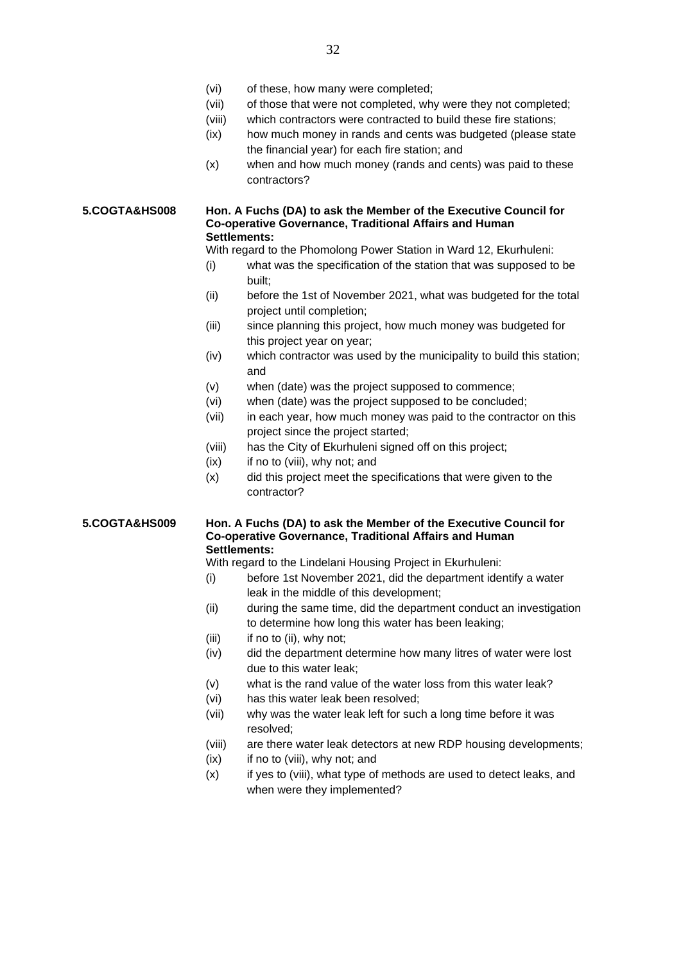- (vi) of these, how many were completed;
- (vii) of those that were not completed, why were they not completed;
- (viii) which contractors were contracted to build these fire stations;
- (ix) how much money in rands and cents was budgeted (please state the financial year) for each fire station; and
- (x) when and how much money (rands and cents) was paid to these contractors?

### **5.COGTA&HS008 Hon. A Fuchs (DA) to ask the Member of the Executive Council for Co-operative Governance, Traditional Affairs and Human Settlements:**

With regard to the Phomolong Power Station in Ward 12, Ekurhuleni:

- (i) what was the specification of the station that was supposed to be built;
- (ii) before the 1st of November 2021, what was budgeted for the total project until completion;
- (iii) since planning this project, how much money was budgeted for this project year on year;
- (iv) which contractor was used by the municipality to build this station; and
- (v) when (date) was the project supposed to commence;
- (vi) when (date) was the project supposed to be concluded;
- (vii) in each year, how much money was paid to the contractor on this project since the project started;
- (viii) has the City of Ekurhuleni signed off on this project;
- $(ix)$  if no to (viii), why not; and
- (x) did this project meet the specifications that were given to the contractor?

# **5.COGTA&HS009 Hon. A Fuchs (DA) to ask the Member of the Executive Council for Co-operative Governance, Traditional Affairs and Human Settlements:**

With regard to the Lindelani Housing Project in Ekurhuleni:

- (i) before 1st November 2021, did the department identify a water leak in the middle of this development;
- (ii) during the same time, did the department conduct an investigation to determine how long this water has been leaking;
- $(iii)$  if no to  $(ii)$ , why not;
- (iv) did the department determine how many litres of water were lost due to this water leak;
- (v) what is the rand value of the water loss from this water leak?
- (vi) has this water leak been resolved;
- (vii) why was the water leak left for such a long time before it was resolved;
- (viii) are there water leak detectors at new RDP housing developments;
- (ix) if no to (viii), why not; and
- (x) if yes to (viii), what type of methods are used to detect leaks, and when were they implemented?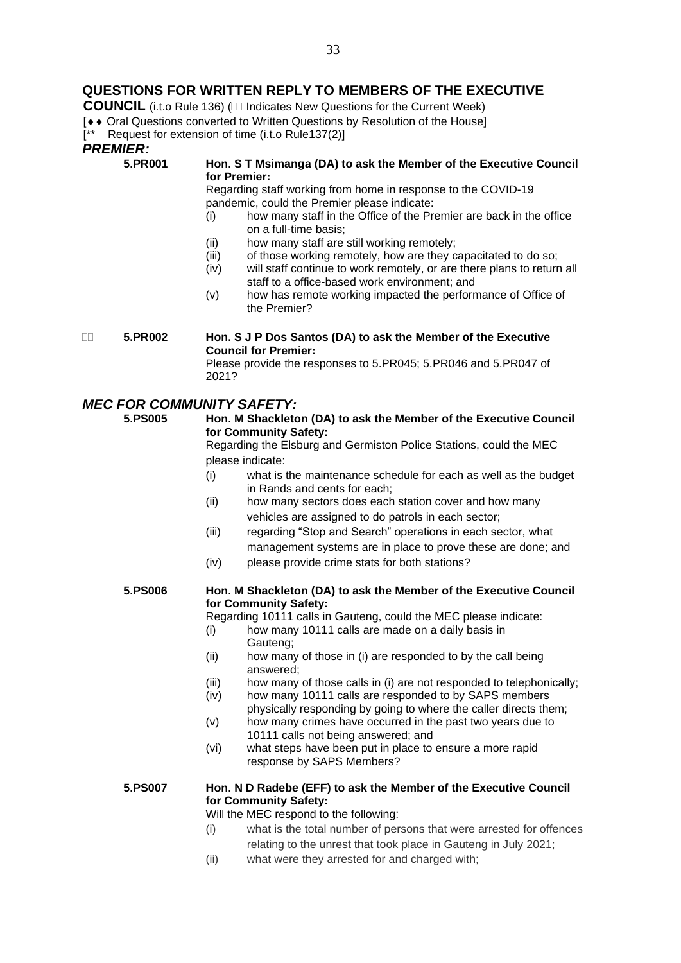# **QUESTIONS FOR WRITTEN REPLY TO MEMBERS OF THE EXECUTIVE**

**COUNCIL** (i.t.o Rule 136) ( $\Box$  Indicates New Questions for the Current Week)

- [  $\bullet$   $\bullet$  Oral Questions converted to Written Questions by Resolution of the House]
- [\*\* Request for extension of time (i.t.o Rule137(2)]

# *PREMIER:*<br>5.PR001

# **5.PR001 Hon. S T Msimanga (DA) to ask the Member of the Executive Council for Premier:**

Regarding staff working from home in response to the COVID-19 pandemic, could the Premier please indicate:

- (i) how many staff in the Office of the Premier are back in the office on a full-time basis;
- (ii) how many staff are still working remotely;
- (iii) of those working remotely, how are they capacitated to do so;
- (iv) will staff continue to work remotely, or are there plans to return all staff to a office-based work environment; and
- (v) how has remote working impacted the performance of Office of the Premier?

 **5.PR002 Hon. S J P Dos Santos (DA) to ask the Member of the Executive Council for Premier:**

Please provide the responses to 5.PR045; 5.PR046 and 5.PR047 of 2021?

# *MEC FOR COMMUNITY SAFETY:*

# **5.PS005 Hon. M Shackleton (DA) to ask the Member of the Executive Council for Community Safety:**

Regarding the Elsburg and Germiston Police Stations, could the MEC please indicate:

- (i) what is the maintenance schedule for each as well as the budget in Rands and cents for each;
- (ii) how many sectors does each station cover and how many vehicles are assigned to do patrols in each sector;
- (iii) regarding "Stop and Search" operations in each sector, what management systems are in place to prove these are done; and
- (iv) please provide crime stats for both stations?

# **5.PS006 Hon. M Shackleton (DA) to ask the Member of the Executive Council for Community Safety:**

Regarding 10111 calls in Gauteng, could the MEC please indicate:

- (i) how many 10111 calls are made on a daily basis in Gauteng;
- (ii) how many of those in (i) are responded to by the call being answered;
- (iii) how many of those calls in (i) are not responded to telephonically;
- (iv) how many 10111 calls are responded to by SAPS members physically responding by going to where the caller directs them;
- (v) how many crimes have occurred in the past two years due to 10111 calls not being answered; and
- (vi) what steps have been put in place to ensure a more rapid response by SAPS Members?

# **5.PS007 Hon. N D Radebe (EFF) to ask the Member of the Executive Council for Community Safety:**

Will the MEC respond to the following:

- (i) what is the total number of persons that were arrested for offences relating to the unrest that took place in Gauteng in July 2021;
- (ii) what were they arrested for and charged with;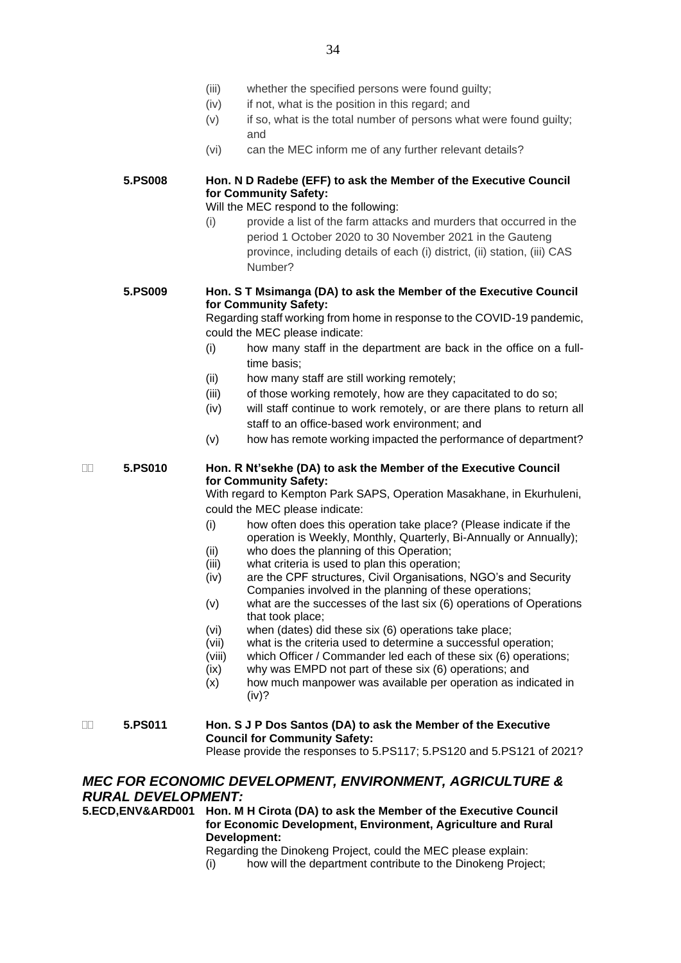- (iii) whether the specified persons were found guilty;
- (iv) if not, what is the position in this regard; and
- (v) if so, what is the total number of persons what were found guilty; and
- (vi) can the MEC inform me of any further relevant details?

# **5.PS008 Hon. N D Radebe (EFF) to ask the Member of the Executive Council for Community Safety:**

Will the MEC respond to the following:

(i) provide a list of the farm attacks and murders that occurred in the period 1 October 2020 to 30 November 2021 in the Gauteng province, including details of each (i) district, (ii) station, (iii) CAS Number?

# **5.PS009 Hon. S T Msimanga (DA) to ask the Member of the Executive Council for Community Safety:**

Regarding staff working from home in response to the COVID-19 pandemic, could the MEC please indicate:

- (i) how many staff in the department are back in the office on a fulltime basis;
- (ii) how many staff are still working remotely;
- (iii) of those working remotely, how are they capacitated to do so;
- (iv) will staff continue to work remotely, or are there plans to return all staff to an office-based work environment; and
- (v) how has remote working impacted the performance of department?

# **5.PS010 Hon. R Nt'sekhe (DA) to ask the Member of the Executive Council for Community Safety:**

With regard to Kempton Park SAPS, Operation Masakhane, in Ekurhuleni, could the MEC please indicate:

- (i) how often does this operation take place? (Please indicate if the operation is Weekly, Monthly, Quarterly, Bi-Annually or Annually);
- (ii) who does the planning of this Operation;
- (iii) what criteria is used to plan this operation;
- (iv) are the CPF structures, Civil Organisations, NGO's and Security Companies involved in the planning of these operations;
- (v) what are the successes of the last six (6) operations of Operations that took place;
- 
- (vi) when (dates) did these six (6) operations take place; what is the criteria used to determine a successful operation;
- (viii) which Officer / Commander led each of these six (6) operations;
- (ix) why was EMPD not part of these six (6) operations; and
- (x) how much manpower was available per operation as indicated in (iv)?
- **5.PS011 Hon. S J P Dos Santos (DA) to ask the Member of the Executive Council for Community Safety:**

Please provide the responses to 5.PS117; 5.PS120 and 5.PS121 of 2021?

# *MEC FOR ECONOMIC DEVELOPMENT, ENVIRONMENT, AGRICULTURE & RURAL DEVELOPMENT:*

**5.ECD,ENV&ARD001 Hon. M H Cirota (DA) to ask the Member of the Executive Council for Economic Development, Environment, Agriculture and Rural Development:**

Regarding the Dinokeng Project, could the MEC please explain:

(i) how will the department contribute to the Dinokeng Project;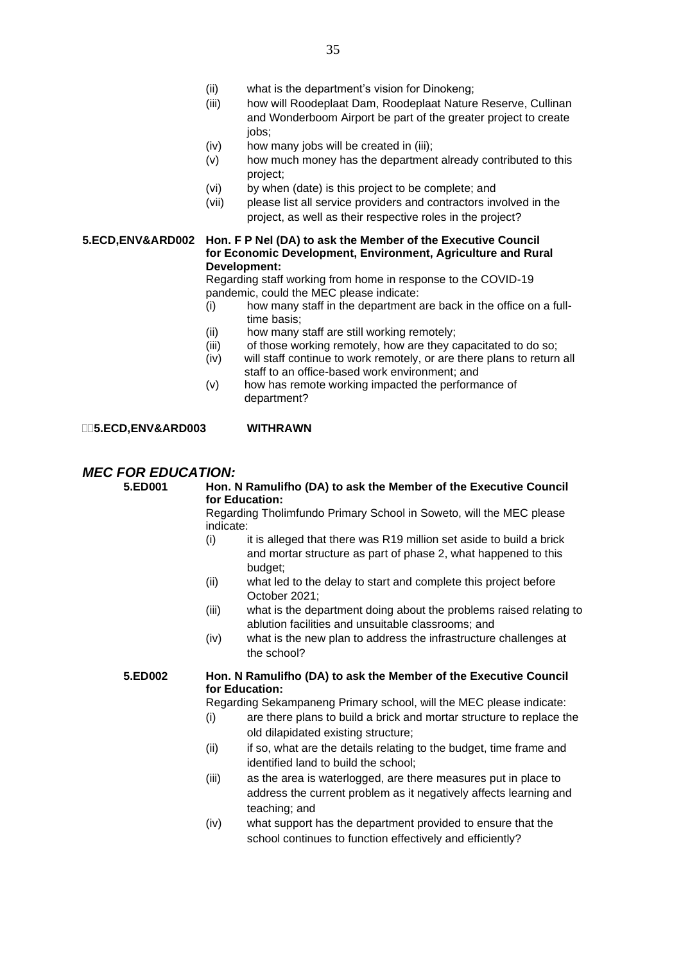- (ii) what is the department's vision for Dinokeng;
- (iii) how will Roodeplaat Dam, Roodeplaat Nature Reserve, Cullinan and Wonderboom Airport be part of the greater project to create jobs;
- (iv) how many jobs will be created in (iii);
- (v) how much money has the department already contributed to this project;
- (vi) by when (date) is this project to be complete; and
- (vii) please list all service providers and contractors involved in the project, as well as their respective roles in the project?

## **5.ECD,ENV&ARD002 Hon. F P Nel (DA) to ask the Member of the Executive Council for Economic Development, Environment, Agriculture and Rural Development:**

Regarding staff working from home in response to the COVID-19 pandemic, could the MEC please indicate:

- (i) how many staff in the department are back in the office on a fulltime basis;
- (ii) how many staff are still working remotely;
- $(iii)$  of those working remotely, how are they capacitated to do so:
- (iv) will staff continue to work remotely, or are there plans to return all staff to an office-based work environment; and
- (v) how has remote working impacted the performance of department?

**5.ECD,ENV&ARD003 WITHRAWN**

# *MEC FOR EDUCATION:*<br>5.ED001 Hon.1

# **5.ED001 Hon. N Ramulifho (DA) to ask the Member of the Executive Council for Education:**

Regarding Tholimfundo Primary School in Soweto, will the MEC please indicate:

- $(i)$  it is alleged that there was R19 million set aside to build a brick and mortar structure as part of phase 2, what happened to this budget;
- (ii) what led to the delay to start and complete this project before October 2021;
- (iii) what is the department doing about the problems raised relating to ablution facilities and unsuitable classrooms; and
- (iv) what is the new plan to address the infrastructure challenges at the school?

# **5.ED002 Hon. N Ramulifho (DA) to ask the Member of the Executive Council for Education:**

Regarding Sekampaneng Primary school, will the MEC please indicate:

- (i) are there plans to build a brick and mortar structure to replace the old dilapidated existing structure;
- (ii) if so, what are the details relating to the budget, time frame and identified land to build the school;
- (iii) as the area is waterlogged, are there measures put in place to address the current problem as it negatively affects learning and teaching; and
- (iv) what support has the department provided to ensure that the school continues to function effectively and efficiently?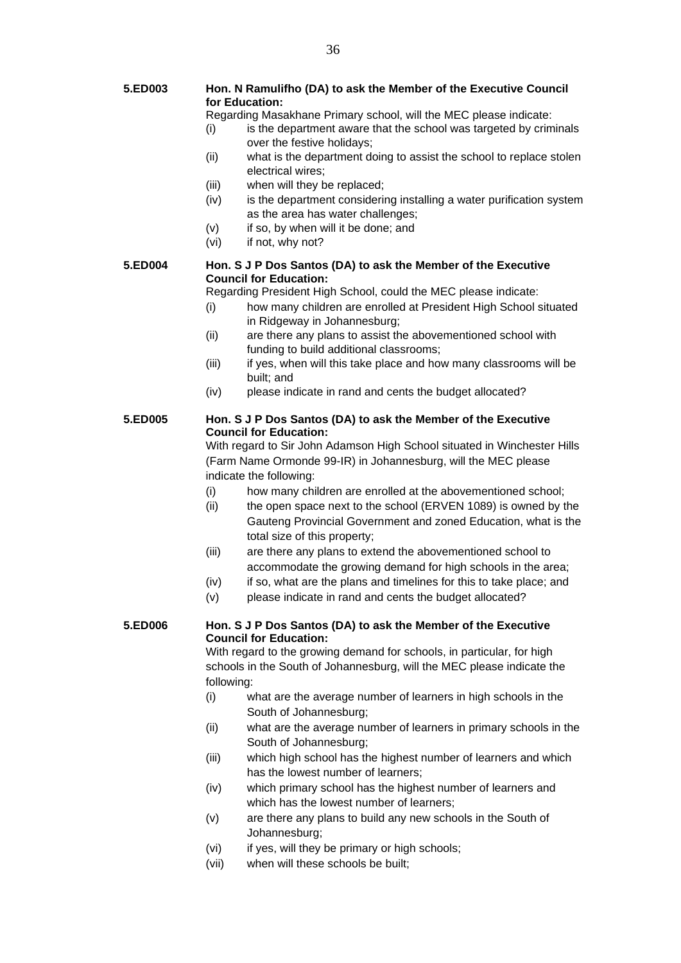- **5.ED003 Hon. N Ramulifho (DA) to ask the Member of the Executive Council for Education:**
	- Regarding Masakhane Primary school, will the MEC please indicate:
	- (i) is the department aware that the school was targeted by criminals over the festive holidays;
	- (ii) what is the department doing to assist the school to replace stolen electrical wires;
	- (iii) when will they be replaced;
	- (iv) is the department considering installing a water purification system as the area has water challenges;
	- (v) if so, by when will it be done; and
	- (vi) if not, why not?

# **5.ED004 Hon. S J P Dos Santos (DA) to ask the Member of the Executive Council for Education:**

Regarding President High School, could the MEC please indicate:

- (i) how many children are enrolled at President High School situated in Ridgeway in Johannesburg;
- (ii) are there any plans to assist the abovementioned school with funding to build additional classrooms;
- (iii) if yes, when will this take place and how many classrooms will be built; and
- (iv) please indicate in rand and cents the budget allocated?

# **5.ED005 Hon. S J P Dos Santos (DA) to ask the Member of the Executive Council for Education:**

With regard to Sir John Adamson High School situated in Winchester Hills (Farm Name Ormonde 99-IR) in Johannesburg, will the MEC please indicate the following:

- (i) how many children are enrolled at the abovementioned school;
- (ii) the open space next to the school (ERVEN 1089) is owned by the Gauteng Provincial Government and zoned Education, what is the total size of this property;
- (iii) are there any plans to extend the abovementioned school to accommodate the growing demand for high schools in the area;
- (iv) if so, what are the plans and timelines for this to take place; and
- (v) please indicate in rand and cents the budget allocated?

# **5.ED006 Hon. S J P Dos Santos (DA) to ask the Member of the Executive Council for Education:**

With regard to the growing demand for schools, in particular, for high schools in the South of Johannesburg, will the MEC please indicate the following:

- (i) what are the average number of learners in high schools in the South of Johannesburg;
- (ii) what are the average number of learners in primary schools in the South of Johannesburg;
- (iii) which high school has the highest number of learners and which has the lowest number of learners;
- (iv) which primary school has the highest number of learners and which has the lowest number of learners;
- (v) are there any plans to build any new schools in the South of Johannesburg;
- (vi) if yes, will they be primary or high schools;
- (vii) when will these schools be built;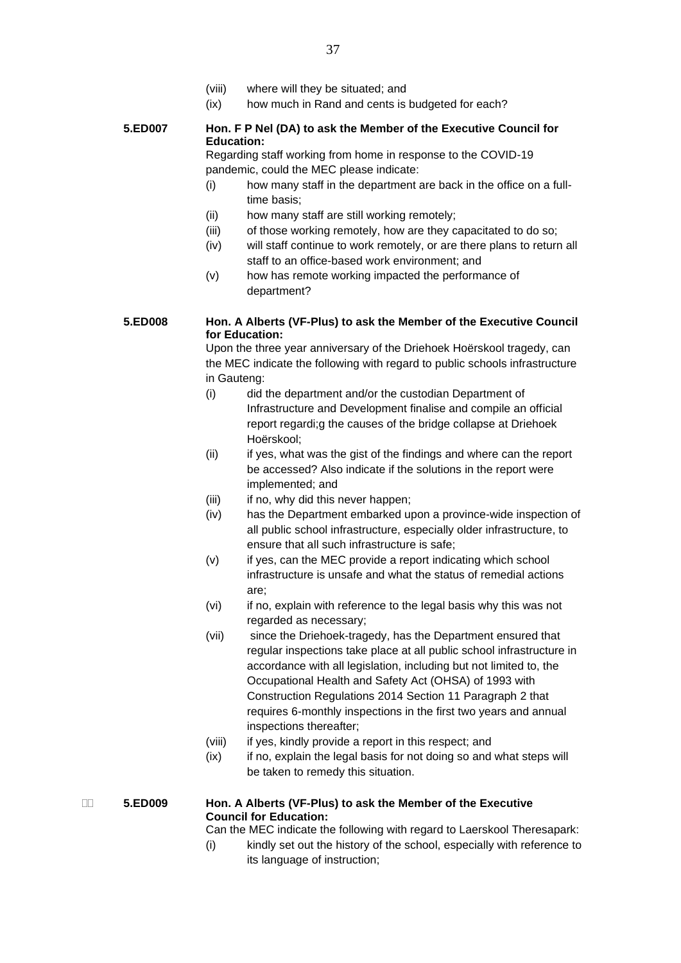- (viii) where will they be situated; and
- (ix) how much in Rand and cents is budgeted for each?

# **5.ED007 Hon. F P Nel (DA) to ask the Member of the Executive Council for Education:**

Regarding staff working from home in response to the COVID-19 pandemic, could the MEC please indicate:

- (i) how many staff in the department are back in the office on a fulltime basis;
- (ii) how many staff are still working remotely;
- (iii) of those working remotely, how are they capacitated to do so;
- (iv) will staff continue to work remotely, or are there plans to return all staff to an office-based work environment; and
- (v) how has remote working impacted the performance of department?

# **5.ED008 Hon. A Alberts (VF-Plus) to ask the Member of the Executive Council for Education:**

Upon the three year anniversary of the Driehoek Hoërskool tragedy, can the MEC indicate the following with regard to public schools infrastructure in Gauteng:

- (i) did the department and/or the custodian Department of Infrastructure and Development finalise and compile an official report regardi;g the causes of the bridge collapse at Driehoek Hoërskool;
- (ii) if yes, what was the gist of the findings and where can the report be accessed? Also indicate if the solutions in the report were implemented; and
- (iii) if no, why did this never happen;
- (iv) has the Department embarked upon a province-wide inspection of all public school infrastructure, especially older infrastructure, to ensure that all such infrastructure is safe;
- (v) if yes, can the MEC provide a report indicating which school infrastructure is unsafe and what the status of remedial actions are;
- (vi) if no, explain with reference to the legal basis why this was not regarded as necessary;
- (vii) since the Driehoek-tragedy, has the Department ensured that regular inspections take place at all public school infrastructure in accordance with all legislation, including but not limited to, the Occupational Health and Safety Act (OHSA) of 1993 with Construction Regulations 2014 Section 11 Paragraph 2 that requires 6-monthly inspections in the first two years and annual inspections thereafter;
- (viii) if yes, kindly provide a report in this respect; and
- (ix) if no, explain the legal basis for not doing so and what steps will be taken to remedy this situation.

# **5.ED009 Hon. A Alberts (VF-Plus) to ask the Member of the Executive Council for Education:**

Can the MEC indicate the following with regard to Laerskool Theresapark:

(i) kindly set out the history of the school, especially with reference to its language of instruction;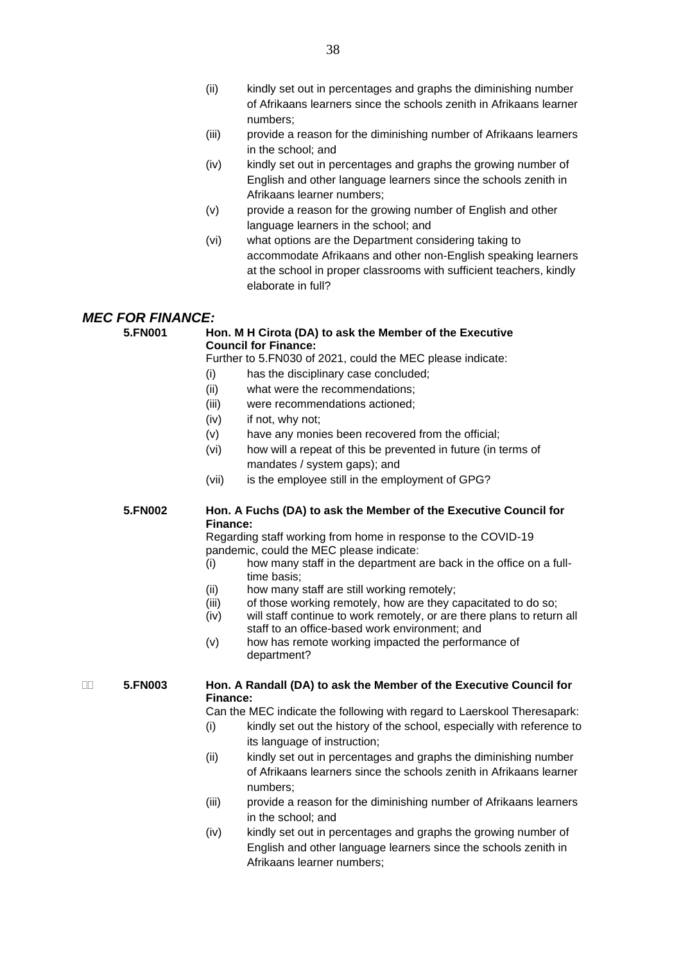- (ii) kindly set out in percentages and graphs the diminishing number of Afrikaans learners since the schools zenith in Afrikaans learner numbers;
- (iii) provide a reason for the diminishing number of Afrikaans learners in the school; and
- (iv) kindly set out in percentages and graphs the growing number of English and other language learners since the schools zenith in Afrikaans learner numbers;
- (v) provide a reason for the growing number of English and other language learners in the school; and
- (vi) what options are the Department considering taking to accommodate Afrikaans and other non-English speaking learners at the school in proper classrooms with sufficient teachers, kindly elaborate in full?

# *MEC FOR FINANCE:*<br>5 FN001 He

# **Hon. M H Cirota (DA) to ask the Member of the Executive Council for Finance:**

Further to 5.FN030 of 2021, could the MEC please indicate:

- (i) has the disciplinary case concluded;
- (ii) what were the recommendations;
- (iii) were recommendations actioned;
- (iv) if not, why not;
- (v) have any monies been recovered from the official;
- (vi) how will a repeat of this be prevented in future (in terms of mandates / system gaps); and
- (vii) is the employee still in the employment of GPG?

# **5.FN002 Hon. A Fuchs (DA) to ask the Member of the Executive Council for Finance:**

Regarding staff working from home in response to the COVID-19 pandemic, could the MEC please indicate:

- (i) how many staff in the department are back in the office on a fulltime basis;
- (ii) how many staff are still working remotely;
- (iii) of those working remotely, how are they capacitated to do so;
- (iv) will staff continue to work remotely, or are there plans to return all staff to an office-based work environment; and
- (v) how has remote working impacted the performance of department?

# **5.FN003 Hon. A Randall (DA) to ask the Member of the Executive Council for Finance:**

Can the MEC indicate the following with regard to Laerskool Theresapark:

- (i) kindly set out the history of the school, especially with reference to its language of instruction;
- (ii) kindly set out in percentages and graphs the diminishing number of Afrikaans learners since the schools zenith in Afrikaans learner numbers;
- (iii) provide a reason for the diminishing number of Afrikaans learners in the school; and
- (iv) kindly set out in percentages and graphs the growing number of English and other language learners since the schools zenith in Afrikaans learner numbers;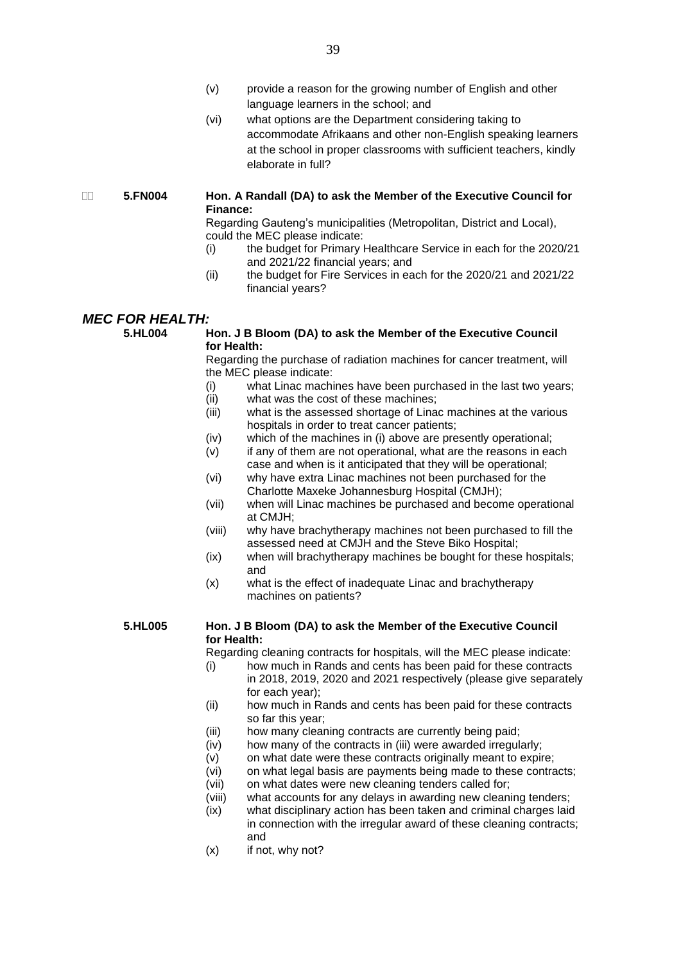- (v) provide a reason for the growing number of English and other language learners in the school; and
- (vi) what options are the Department considering taking to accommodate Afrikaans and other non-English speaking learners at the school in proper classrooms with sufficient teachers, kindly elaborate in full?

# **5.FN004 Hon. A Randall (DA) to ask the Member of the Executive Council for Finance:**

Regarding Gauteng's municipalities (Metropolitan, District and Local), could the MEC please indicate:

- (i) the budget for Primary Healthcare Service in each for the 2020/21 and 2021/22 financial years; and
- (ii) the budget for Fire Services in each for the 2020/21 and 2021/22 financial years?

# *MEC FOR HEALTH:*<br>5.HL004 F

# **Hon. J B Bloom (DA) to ask the Member of the Executive Council for Health:**

Regarding the purchase of radiation machines for cancer treatment, will the MEC please indicate:

- (i) what Linac machines have been purchased in the last two years;
- (ii) what was the cost of these machines;
- (iii) what is the assessed shortage of Linac machines at the various hospitals in order to treat cancer patients;
- (iv) which of the machines in (i) above are presently operational;
- (v) if any of them are not operational, what are the reasons in each case and when is it anticipated that they will be operational;
- (vi) why have extra Linac machines not been purchased for the Charlotte Maxeke Johannesburg Hospital (CMJH);
- (vii) when will Linac machines be purchased and become operational at CMJH;
- (viii) why have brachytherapy machines not been purchased to fill the assessed need at CMJH and the Steve Biko Hospital;
- (ix) when will brachytherapy machines be bought for these hospitals; and
- (x) what is the effect of inadequate Linac and brachytherapy machines on patients?

# **5.HL005 Hon. J B Bloom (DA) to ask the Member of the Executive Council for Health:**

Regarding cleaning contracts for hospitals, will the MEC please indicate:

- (i) how much in Rands and cents has been paid for these contracts in 2018, 2019, 2020 and 2021 respectively (please give separately for each year);
- (ii) how much in Rands and cents has been paid for these contracts so far this year;
- (iii) how many cleaning contracts are currently being paid;
- (iv) how many of the contracts in (iii) were awarded irregularly;
- $(v)$  on what date were these contracts originally meant to expire;
	- (vi) on what legal basis are payments being made to these contracts;
	- (vii) on what dates were new cleaning tenders called for;
- (viii) what accounts for any delays in awarding new cleaning tenders;
- (ix) what disciplinary action has been taken and criminal charges laid in connection with the irregular award of these cleaning contracts; and
- (x) if not, why not?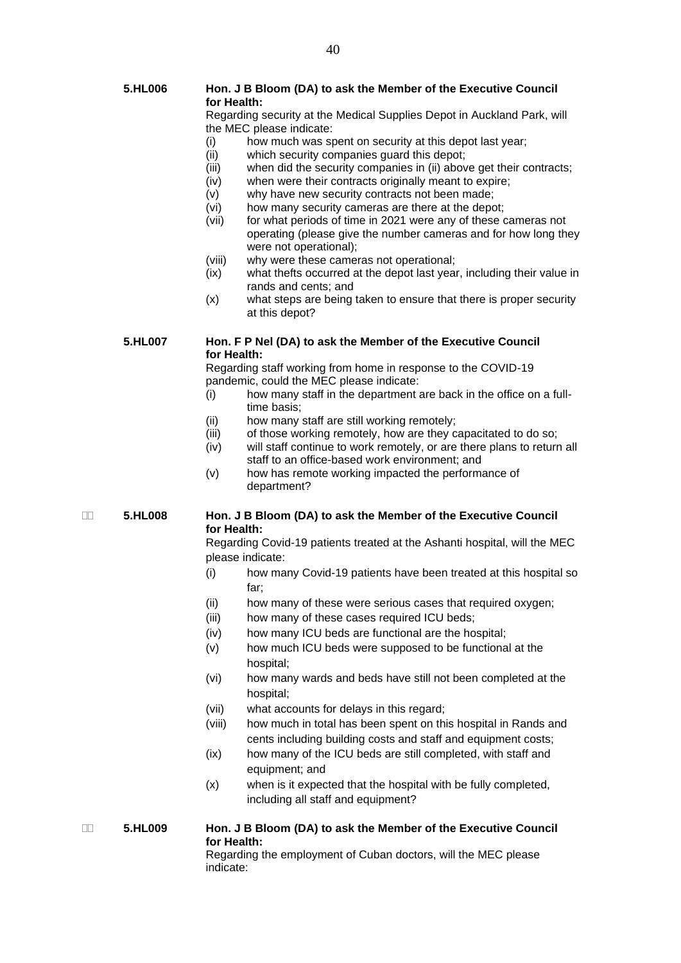Regarding security at the Medical Supplies Depot in Auckland Park, will the MEC please indicate:

- (i) how much was spent on security at this depot last year;
- (ii) which security companies guard this depot;
- (iii) when did the security companies in (ii) above get their contracts;
- (iv) when were their contracts originally meant to expire;
	- (v) why have new security contracts not been made;
	- (vi) how many security cameras are there at the depot;
	- (vii) for what periods of time in 2021 were any of these cameras not operating (please give the number cameras and for how long they were not operational);
	- (viii) why were these cameras not operational;
- (ix) what thefts occurred at the depot last year, including their value in rands and cents; and
- (x) what steps are being taken to ensure that there is proper security at this depot?

**5.HL007 Hon. F P Nel (DA) to ask the Member of the Executive Council for Health:**

Regarding staff working from home in response to the COVID-19 pandemic, could the MEC please indicate:

- (i) how many staff in the department are back in the office on a fulltime basis;
- (ii) how many staff are still working remotely;
- (iii) of those working remotely, how are they capacitated to do so;
- (iv) will staff continue to work remotely, or are there plans to return all staff to an office-based work environment; and
- (v) how has remote working impacted the performance of department?

# **5.HL008 Hon. J B Bloom (DA) to ask the Member of the Executive Council for Health:**

Regarding Covid-19 patients treated at the Ashanti hospital, will the MEC please indicate:

- (i) how many Covid-19 patients have been treated at this hospital so far;
- (ii) how many of these were serious cases that required oxygen;
- (iii) how many of these cases required ICU beds;
- (iv) how many ICU beds are functional are the hospital;
- (v) how much ICU beds were supposed to be functional at the hospital;
- (vi) how many wards and beds have still not been completed at the hospital;
- (vii) what accounts for delays in this regard;
- (viii) how much in total has been spent on this hospital in Rands and cents including building costs and staff and equipment costs;
- (ix) how many of the ICU beds are still completed, with staff and equipment; and
- (x) when is it expected that the hospital with be fully completed, including all staff and equipment?

 **5.HL009 Hon. J B Bloom (DA) to ask the Member of the Executive Council for Health:**

Regarding the employment of Cuban doctors, will the MEC please indicate: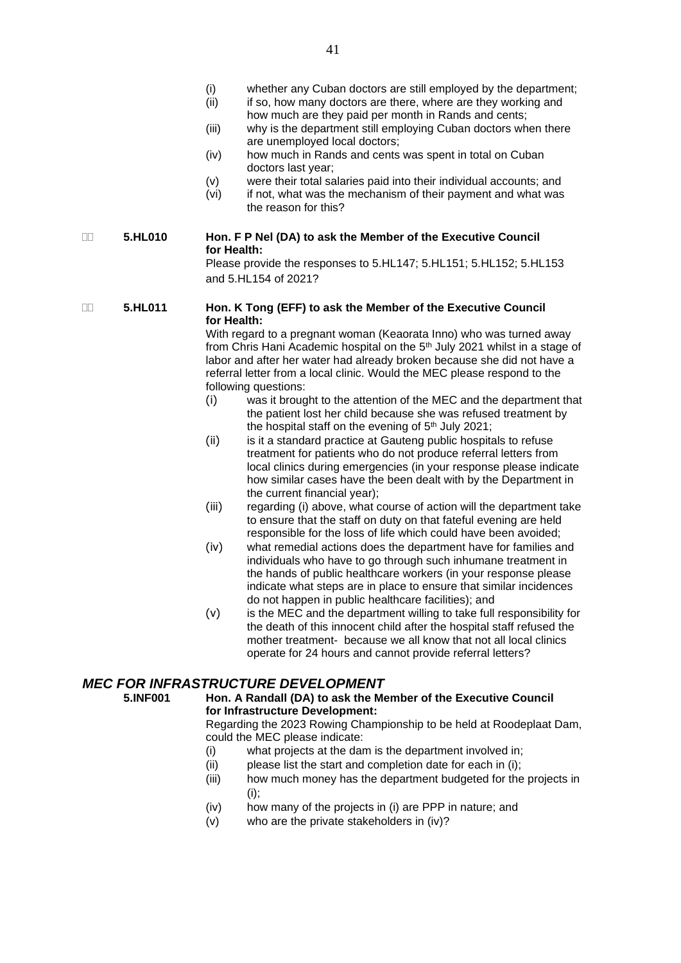- (i) whether any Cuban doctors are still employed by the department;<br>(ii) if so, how many doctors are there, where are they working and
- if so, how many doctors are there, where are they working and how much are they paid per month in Rands and cents;
- (iii) why is the department still employing Cuban doctors when there are unemployed local doctors;
- (iv) how much in Rands and cents was spent in total on Cuban doctors last year;
- (v) were their total salaries paid into their individual accounts; and
- (vi) if not, what was the mechanism of their payment and what was the reason for this?

# **5.HL010 Hon. F P Nel (DA) to ask the Member of the Executive Council for Health:**

Please provide the responses to 5.HL147; 5.HL151; 5.HL152; 5.HL153 and 5.HL154 of 2021?

# **5.HL011 Hon. K Tong (EFF) to ask the Member of the Executive Council for Health:**

With regard to a pregnant woman (Keaorata Inno) who was turned away from Chris Hani Academic hospital on the 5<sup>th</sup> July 2021 whilst in a stage of labor and after her water had already broken because she did not have a referral letter from a local clinic. Would the MEC please respond to the following questions:

- (i) was it brought to the attention of the MEC and the department that the patient lost her child because she was refused treatment by the hospital staff on the evening of  $5<sup>th</sup>$  July 2021;
- (ii) is it a standard practice at Gauteng public hospitals to refuse treatment for patients who do not produce referral letters from local clinics during emergencies (in your response please indicate how similar cases have the been dealt with by the Department in the current financial year);
- (iii) regarding (i) above, what course of action will the department take to ensure that the staff on duty on that fateful evening are held responsible for the loss of life which could have been avoided;
- (iv) what remedial actions does the department have for families and individuals who have to go through such inhumane treatment in the hands of public healthcare workers (in your response please indicate what steps are in place to ensure that similar incidences do not happen in public healthcare facilities); and
- (v) is the MEC and the department willing to take full responsibility for the death of this innocent child after the hospital staff refused the mother treatment- because we all know that not all local clinics operate for 24 hours and cannot provide referral letters?

# *MEC FOR INFRASTRUCTURE DEVELOPMENT*<br>5 INF001 Hon A Randall (DA) to ask the Me

**for Infrastructure Development:** Regarding the 2023 Rowing Championship to be held at Roodeplaat Dam,

**5.INF001 Hon. A Randall (DA) to ask the Member of the Executive Council** 

- could the MEC please indicate:
- (i) what projects at the dam is the department involved in;
- (ii) please list the start and completion date for each in (i);
- (iii) how much money has the department budgeted for the projects in (i);
- (iv) how many of the projects in (i) are PPP in nature; and
- (v) who are the private stakeholders in (iv)?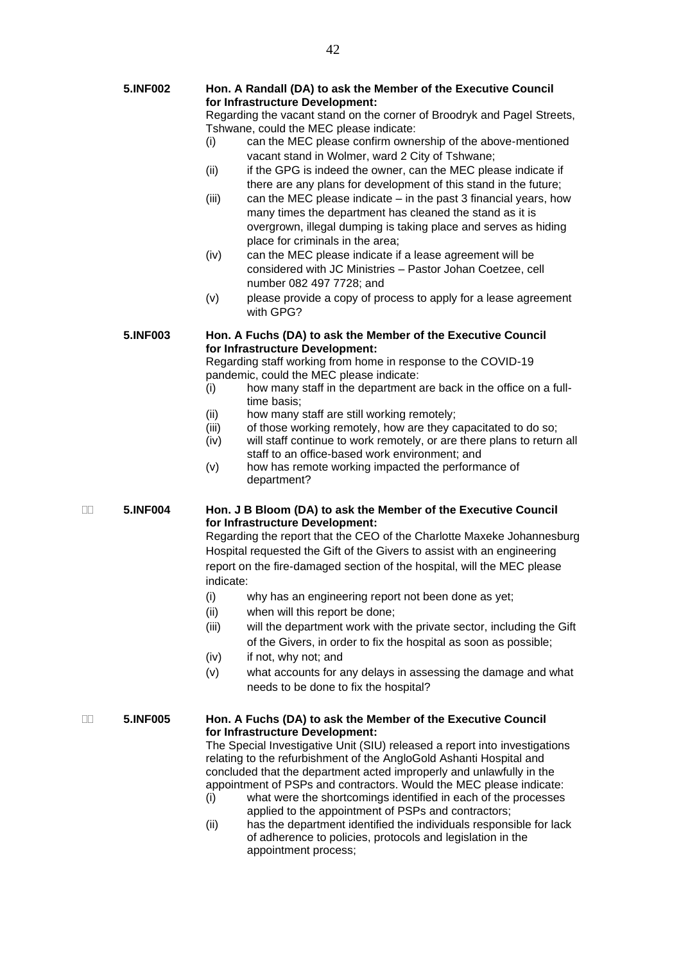| 5.INF002        | Hon. A Randall (DA) to ask the Member of the Executive Council<br>for Infrastructure Development:<br>Regarding the vacant stand on the corner of Broodryk and Pagel Streets, |                                                                  |                                                             |
|-----------------|------------------------------------------------------------------------------------------------------------------------------------------------------------------------------|------------------------------------------------------------------|-------------------------------------------------------------|
|                 |                                                                                                                                                                              |                                                                  |                                                             |
|                 |                                                                                                                                                                              |                                                                  |                                                             |
|                 |                                                                                                                                                                              | (i)                                                              | can the MEC please confirm ownership of the above-mentioned |
|                 |                                                                                                                                                                              | vacant stand in Wolmer, ward 2 City of Tshwane;                  |                                                             |
|                 | (ii)                                                                                                                                                                         | if the GPG is indeed the owner, can the MEC please indicate if   |                                                             |
|                 |                                                                                                                                                                              | there are any plans for development of this stand in the future; |                                                             |
|                 | (iii)                                                                                                                                                                        | can the MEC please indicate – in the past 3 financial years, how |                                                             |
|                 |                                                                                                                                                                              | many times the department has cleaned the stand as it is         |                                                             |
|                 |                                                                                                                                                                              | overgrown, illegal dumping is taking place and serves as hiding  |                                                             |
|                 |                                                                                                                                                                              | place for criminals in the area;                                 |                                                             |
|                 | (iv)                                                                                                                                                                         | can the MEC please indicate if a lease agreement will be         |                                                             |
|                 |                                                                                                                                                                              | considered with JC Ministries - Pastor Johan Coetzee, cell       |                                                             |
|                 |                                                                                                                                                                              | number 082 497 7728; and                                         |                                                             |
|                 | (v)                                                                                                                                                                          | please provide a copy of process to apply for a lease agreement  |                                                             |
|                 |                                                                                                                                                                              | with GPG?                                                        |                                                             |
|                 |                                                                                                                                                                              |                                                                  |                                                             |
| <b>5.INF003</b> | Hon. A Fuchs (DA) to ask the Member of the Executive Council                                                                                                                 |                                                                  |                                                             |
|                 |                                                                                                                                                                              | for Infrastructure Development:                                  |                                                             |

Regarding staff working from home in response to the COVID-19 pandemic, could the MEC please indicate:

- (i) how many staff in the department are back in the office on a fulltime basis;
- (ii) how many staff are still working remotely;
- (iii) of those working remotely, how are they capacitated to do so;
- (iv) will staff continue to work remotely, or are there plans to return all staff to an office-based work environment; and
- (v) how has remote working impacted the performance of department?

# **5.INF004 Hon. J B Bloom (DA) to ask the Member of the Executive Council for Infrastructure Development:**

Regarding the report that the CEO of the Charlotte Maxeke Johannesburg Hospital requested the Gift of the Givers to assist with an engineering report on the fire-damaged section of the hospital, will the MEC please indicate:

- (i) why has an engineering report not been done as yet;
- (ii) when will this report be done;
- (iii) will the department work with the private sector, including the Gift of the Givers, in order to fix the hospital as soon as possible;
- (iv) if not, why not; and
- (v) what accounts for any delays in assessing the damage and what needs to be done to fix the hospital?

# **5.INF005 Hon. A Fuchs (DA) to ask the Member of the Executive Council for Infrastructure Development:**

The Special Investigative Unit (SIU) released a report into investigations relating to the refurbishment of the AngloGold Ashanti Hospital and concluded that the department acted improperly and unlawfully in the appointment of PSPs and contractors. Would the MEC please indicate:

- (i) what were the shortcomings identified in each of the processes applied to the appointment of PSPs and contractors;
- (ii) has the department identified the individuals responsible for lack of adherence to policies, protocols and legislation in the appointment process;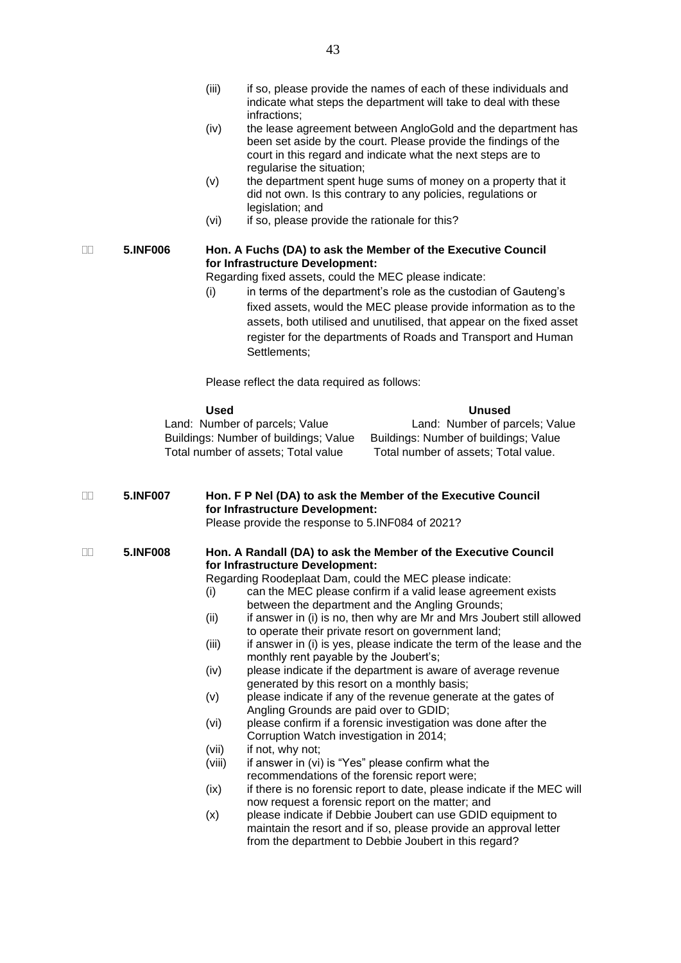- (iv) the lease agreement between AngloGold and the department has been set aside by the court. Please provide the findings of the court in this regard and indicate what the next steps are to regularise the situation;
- (v) the department spent huge sums of money on a property that it did not own. Is this contrary to any policies, regulations or legislation; and
- (vi) if so, please provide the rationale for this?

# **5.INF006 Hon. A Fuchs (DA) to ask the Member of the Executive Council for Infrastructure Development:**

Regarding fixed assets, could the MEC please indicate:

(i) in terms of the department's role as the custodian of Gauteng's fixed assets, would the MEC please provide information as to the assets, both utilised and unutilised, that appear on the fixed asset register for the departments of Roads and Transport and Human Settlements;

Please reflect the data required as follows:

| Used                                  | Unused                                |
|---------------------------------------|---------------------------------------|
| Land: Number of parcels; Value        | Land: Number of parcels; Value        |
| Buildings: Number of buildings; Value | Buildings: Number of buildings; Value |
| Total number of assets; Total value   | Total number of assets; Total value.  |

## **5.INF007 Hon. F P Nel (DA) to ask the Member of the Executive Council for Infrastructure Development:** Please provide the response to 5.INF084 of 2021?

 **5.INF008 Hon. A Randall (DA) to ask the Member of the Executive Council for Infrastructure Development:**

Regarding Roodeplaat Dam, could the MEC please indicate:

- (i) can the MEC please confirm if a valid lease agreement exists between the department and the Angling Grounds;
- (ii) if answer in (i) is no, then why are Mr and Mrs Joubert still allowed to operate their private resort on government land;
- (iii) if answer in (i) is yes, please indicate the term of the lease and the monthly rent payable by the Joubert's;
- (iv) please indicate if the department is aware of average revenue generated by this resort on a monthly basis;
- (v) please indicate if any of the revenue generate at the gates of Angling Grounds are paid over to GDID;
- (vi) please confirm if a forensic investigation was done after the Corruption Watch investigation in 2014;
- (vii) if not, why not;
- $(viii)$  if answer in (vi) is "Yes" please confirm what the recommendations of the forensic report were;
- (ix) if there is no forensic report to date, please indicate if the MEC will now request a forensic report on the matter; and
- (x) please indicate if Debbie Joubert can use GDID equipment to maintain the resort and if so, please provide an approval letter from the department to Debbie Joubert in this regard?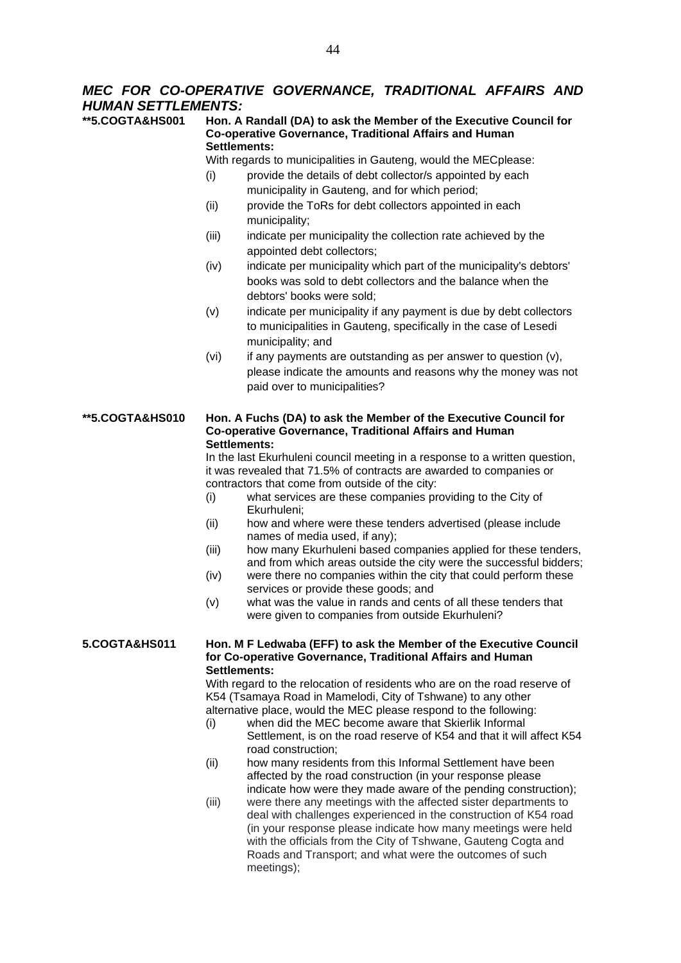# *MEC FOR CO-OPERATIVE GOVERNANCE, TRADITIONAL AFFAIRS AND HUMAN SETTLEMENTS:*

**Hon. A Randall (DA) to ask the Member of the Executive Council for Co-operative Governance, Traditional Affairs and Human Settlements:** With regards to municipalities in Gauteng, would the MECplease: (i) provide the details of debt collector/s appointed by each municipality in Gauteng, and for which period; (ii) provide the ToRs for debt collectors appointed in each

municipality;

- (iii) indicate per municipality the collection rate achieved by the appointed debt collectors;
- (iv) indicate per municipality which part of the municipality's debtors' books was sold to debt collectors and the balance when the debtors' books were sold;
- (v) indicate per municipality if any payment is due by debt collectors to municipalities in Gauteng, specifically in the case of Lesedi municipality; and
- $(vi)$  if any payments are outstanding as per answer to question  $(v)$ , please indicate the amounts and reasons why the money was not paid over to municipalities?

# **\*\*5.COGTA&HS010 Hon. A Fuchs (DA) to ask the Member of the Executive Council for Co-operative Governance, Traditional Affairs and Human Settlements:**

In the last Ekurhuleni council meeting in a response to a written question, it was revealed that 71.5% of contracts are awarded to companies or contractors that come from outside of the city:

- (i) what services are these companies providing to the City of Ekurhuleni;
- (ii) how and where were these tenders advertised (please include names of media used, if any);
- (iii) how many Ekurhuleni based companies applied for these tenders, and from which areas outside the city were the successful bidders;
- (iv) were there no companies within the city that could perform these services or provide these goods; and
- (v) what was the value in rands and cents of all these tenders that were given to companies from outside Ekurhuleni?

## **5.COGTA&HS011 Hon. M F Ledwaba (EFF) to ask the Member of the Executive Council for Co-operative Governance, Traditional Affairs and Human Settlements:**

With regard to the relocation of residents who are on the road reserve of K54 (Tsamaya Road in Mamelodi, City of Tshwane) to any other alternative place, would the MEC please respond to the following:

- (i) when did the MEC become aware that Skierlik Informal Settlement, is on the road reserve of K54 and that it will affect K54 road construction;
- (ii) how many residents from this Informal Settlement have been affected by the road construction (in your response please indicate how were they made aware of the pending construction);
- (iii) were there any meetings with the affected sister departments to deal with challenges experienced in the construction of K54 road (in your response please indicate how many meetings were held with the officials from the City of Tshwane, Gauteng Cogta and Roads and Transport; and what were the outcomes of such meetings);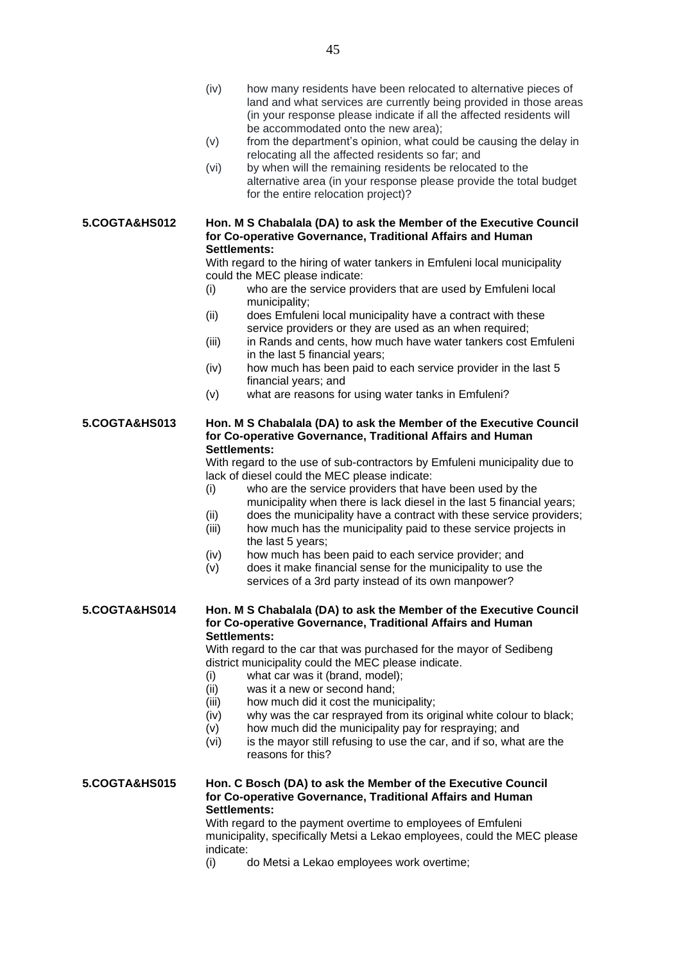- (iv) how many residents have been relocated to alternative pieces of land and what services are currently being provided in those areas (in your response please indicate if all the affected residents will be accommodated onto the new area);
- (v) from the department's opinion, what could be causing the delay in relocating all the affected residents so far; and
- (vi) by when will the remaining residents be relocated to the alternative area (in your response please provide the total budget for the entire relocation project)?

**5.COGTA&HS012 Hon. M S Chabalala (DA) to ask the Member of the Executive Council for Co-operative Governance, Traditional Affairs and Human Settlements:**

> With regard to the hiring of water tankers in Emfuleni local municipality could the MEC please indicate:

- (i) who are the service providers that are used by Emfuleni local municipality;
- (ii) does Emfuleni local municipality have a contract with these service providers or they are used as an when required;
- (iii) in Rands and cents, how much have water tankers cost Emfuleni in the last 5 financial years;
- (iv) how much has been paid to each service provider in the last 5 financial years; and
- (v) what are reasons for using water tanks in Emfuleni?

## **5.COGTA&HS013 Hon. M S Chabalala (DA) to ask the Member of the Executive Council for Co-operative Governance, Traditional Affairs and Human Settlements:**

With regard to the use of sub-contractors by Emfuleni municipality due to lack of diesel could the MEC please indicate:

- (i) who are the service providers that have been used by the municipality when there is lack diesel in the last 5 financial years;
- (ii) does the municipality have a contract with these service providers;
- (iii) how much has the municipality paid to these service projects in the last 5 years;
- (iv) how much has been paid to each service provider; and
- (v) does it make financial sense for the municipality to use the services of a 3rd party instead of its own manpower?

# **5.COGTA&HS014 Hon. M S Chabalala (DA) to ask the Member of the Executive Council for Co-operative Governance, Traditional Affairs and Human Settlements:**

With regard to the car that was purchased for the mayor of Sedibeng district municipality could the MEC please indicate.

- (i) what car was it (brand, model);
- (ii) was it a new or second hand;
- (iii) how much did it cost the municipality;
- (iv) why was the car resprayed from its original white colour to black;
- (v) how much did the municipality pay for respraying; and
- $(vi)$  is the mayor still refusing to use the car, and if so, what are the reasons for this?

# **5.COGTA&HS015 Hon. C Bosch (DA) to ask the Member of the Executive Council for Co-operative Governance, Traditional Affairs and Human Settlements:**

With regard to the payment overtime to employees of Emfuleni municipality, specifically Metsi a Lekao employees, could the MEC please indicate:

(i) do Metsi a Lekao employees work overtime;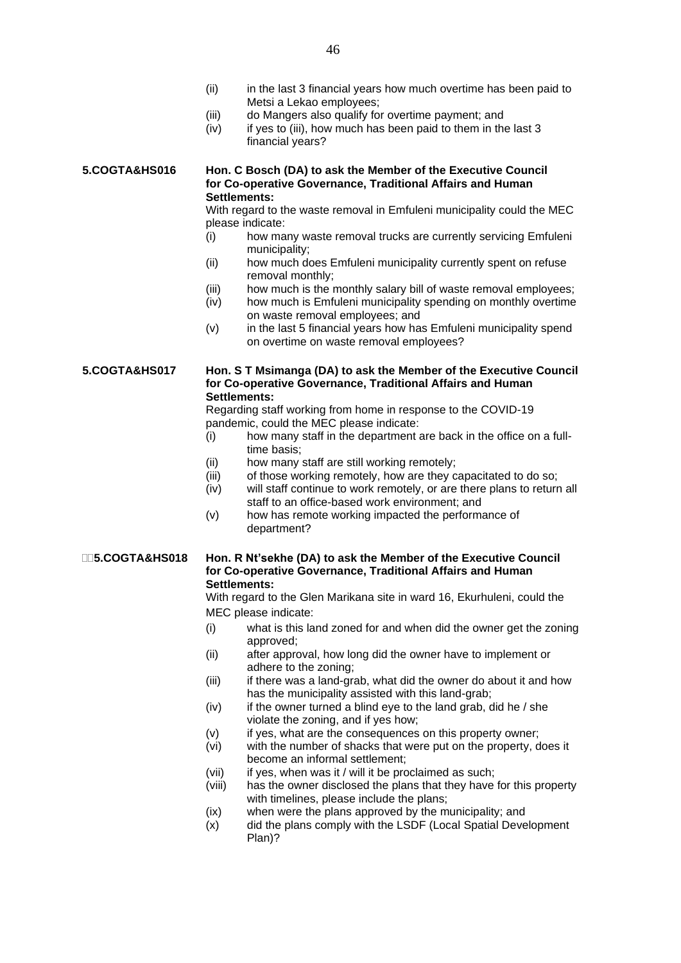- (ii) in the last 3 financial years how much overtime has been paid to Metsi a Lekao employees;
- (iii) do Mangers also qualify for overtime payment; and
- $(iv)$  if yes to (iii), how much has been paid to them in the last 3 financial years?

**5.COGTA&HS016 Hon. C Bosch (DA) to ask the Member of the Executive Council for Co-operative Governance, Traditional Affairs and Human Settlements:**

> With regard to the waste removal in Emfuleni municipality could the MEC please indicate:

- (i) how many waste removal trucks are currently servicing Emfuleni municipality;
- (ii) how much does Emfuleni municipality currently spent on refuse removal monthly;
- (iii) how much is the monthly salary bill of waste removal employees;
- (iv) how much is Emfuleni municipality spending on monthly overtime on waste removal employees; and
- (v) in the last 5 financial years how has Emfuleni municipality spend on overtime on waste removal employees?

**5.COGTA&HS017 Hon. S T Msimanga (DA) to ask the Member of the Executive Council for Co-operative Governance, Traditional Affairs and Human Settlements:**

> Regarding staff working from home in response to the COVID-19 pandemic, could the MEC please indicate:

- (i) how many staff in the department are back in the office on a fulltime basis;
- (ii) how many staff are still working remotely;
- (iii) of those working remotely, how are they capacitated to do so;
- (iv) will staff continue to work remotely, or are there plans to return all staff to an office-based work environment; and
- (v) how has remote working impacted the performance of department?

### **5.COGTA&HS018 Hon. R Nt'sekhe (DA) to ask the Member of the Executive Council for Co-operative Governance, Traditional Affairs and Human Settlements:**

With regard to the Glen Marikana site in ward 16, Ekurhuleni, could the MEC please indicate:

- (i) what is this land zoned for and when did the owner get the zoning approved;
- (ii) after approval, how long did the owner have to implement or adhere to the zoning;
- (iii) if there was a land-grab, what did the owner do about it and how has the municipality assisted with this land-grab;
- $(iv)$  if the owner turned a blind eye to the land grab, did he / she violate the zoning, and if yes how;
- (v) if yes, what are the consequences on this property owner;
- (vi) with the number of shacks that were put on the property, does it become an informal settlement;
- (vii) if yes, when was it / will it be proclaimed as such:
- (viii) has the owner disclosed the plans that they have for this property with timelines, please include the plans;
- (ix) when were the plans approved by the municipality; and
- (x) did the plans comply with the LSDF (Local Spatial Development Plan)?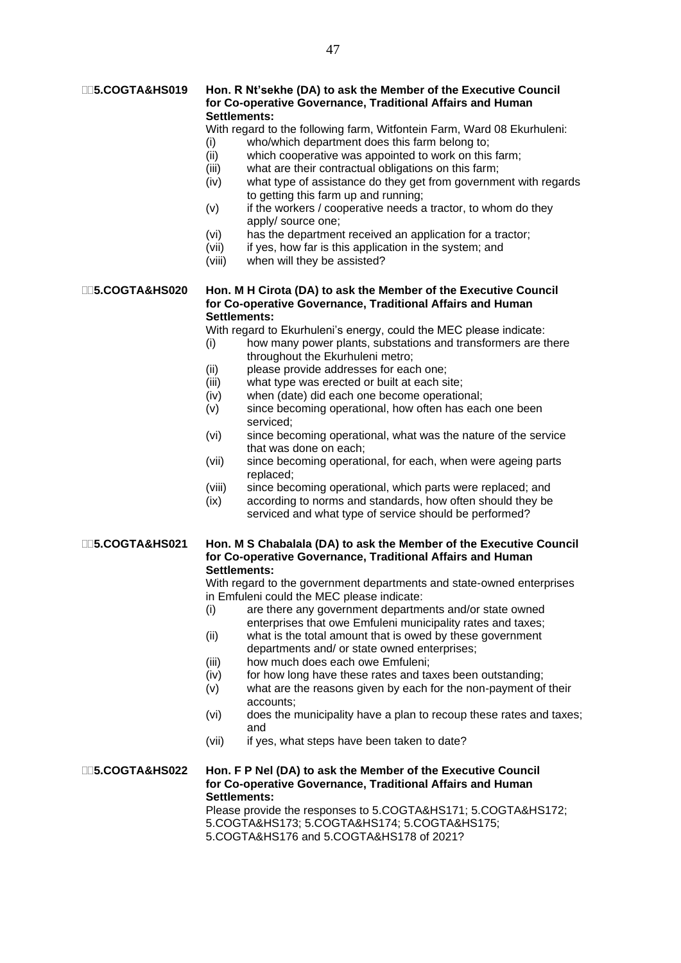## **5.COGTA&HS019 Hon. R Nt'sekhe (DA) to ask the Member of the Executive Council for Co-operative Governance, Traditional Affairs and Human Settlements:**

With regard to the following farm, Witfontein Farm, Ward 08 Ekurhuleni:

- (i) who/which department does this farm belong to;
- (ii) which cooperative was appointed to work on this farm;
- (iii) what are their contractual obligations on this farm;
- (iv) what type of assistance do they get from government with regards to getting this farm up and running;
- $(v)$  if the workers / cooperative needs a tractor, to whom do they apply/ source one;
- (vi) has the department received an application for a tractor;
- (vii) if yes, how far is this application in the system; and
- (viii) when will they be assisted?

# **5.COGTA&HS020 Hon. M H Cirota (DA) to ask the Member of the Executive Council for Co-operative Governance, Traditional Affairs and Human Settlements:**

With regard to Ekurhuleni's energy, could the MEC please indicate:

- (i) how many power plants, substations and transformers are there throughout the Ekurhuleni metro;
- (ii) please provide addresses for each one;
- (iii) what type was erected or built at each site;
- (iv) when (date) did each one become operational;
- (v) since becoming operational, how often has each one been serviced;
- (vi) since becoming operational, what was the nature of the service that was done on each;
- (vii) since becoming operational, for each, when were ageing parts replaced;
- (viii) since becoming operational, which parts were replaced; and
- (ix) according to norms and standards, how often should they be serviced and what type of service should be performed?

# **5.COGTA&HS021 Hon. M S Chabalala (DA) to ask the Member of the Executive Council for Co-operative Governance, Traditional Affairs and Human Settlements:**

With regard to the government departments and state-owned enterprises in Emfuleni could the MEC please indicate:

- (i) are there any government departments and/or state owned enterprises that owe Emfuleni municipality rates and taxes;
- (ii) what is the total amount that is owed by these government departments and/ or state owned enterprises;
- (iii) how much does each owe Emfuleni;
- (iv) for how long have these rates and taxes been outstanding;
- (v) what are the reasons given by each for the non-payment of their accounts;
- (vi) does the municipality have a plan to recoup these rates and taxes; and
- (vii) if yes, what steps have been taken to date?

# **5.COGTA&HS022 Hon. F P Nel (DA) to ask the Member of the Executive Council for Co-operative Governance, Traditional Affairs and Human Settlements:**

Please provide the responses to 5.COGTA&HS171; 5.COGTA&HS172; 5.COGTA&HS173; 5.COGTA&HS174; 5.COGTA&HS175; 5.COGTA&HS176 and 5.COGTA&HS178 of 2021?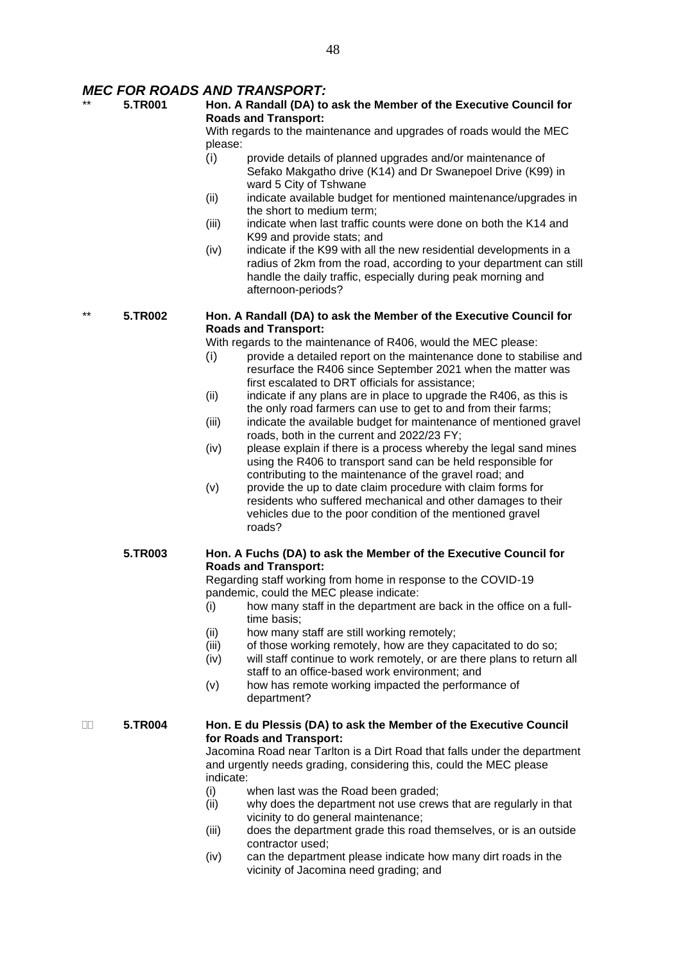# *MEC FOR ROADS AND TRANSPORT:*

\*\* **5.TR001 Hon. A Randall (DA) to ask the Member of the Executive Council for Roads and Transport:**

With regards to the maintenance and upgrades of roads would the MEC please:

- (i) provide details of planned upgrades and/or maintenance of Sefako Makgatho drive (K14) and Dr Swanepoel Drive (K99) in ward 5 City of Tshwane
- (ii) indicate available budget for mentioned maintenance/upgrades in the short to medium term;
- (iii) indicate when last traffic counts were done on both the K14 and K99 and provide stats; and
- (iv) indicate if the K99 with all the new residential developments in a radius of 2km from the road, according to your department can still handle the daily traffic, especially during peak morning and afternoon-periods?

\*\* **5.TR002 Hon. A Randall (DA) to ask the Member of the Executive Council for Roads and Transport:**

With regards to the maintenance of R406, would the MEC please:

- (i) provide a detailed report on the maintenance done to stabilise and resurface the R406 since September 2021 when the matter was first escalated to DRT officials for assistance;
- $(ii)$  indicate if any plans are in place to upgrade the R406, as this is the only road farmers can use to get to and from their farms;
- (iii) indicate the available budget for maintenance of mentioned gravel roads, both in the current and 2022/23 FY;
- (iv) please explain if there is a process whereby the legal sand mines using the R406 to transport sand can be held responsible for contributing to the maintenance of the gravel road; and
- (v) provide the up to date claim procedure with claim forms for residents who suffered mechanical and other damages to their vehicles due to the poor condition of the mentioned gravel roads?

# **5.TR003 Hon. A Fuchs (DA) to ask the Member of the Executive Council for Roads and Transport:**

Regarding staff working from home in response to the COVID-19 pandemic, could the MEC please indicate:

- (i) how many staff in the department are back in the office on a fulltime basis;
- (ii) how many staff are still working remotely;
- (iii) of those working remotely, how are they capacitated to do so;
- (iv) will staff continue to work remotely, or are there plans to return all staff to an office-based work environment; and
- (v) how has remote working impacted the performance of department?

## **5.TR004 Hon. E du Plessis (DA) to ask the Member of the Executive Council for Roads and Transport:**

Jacomina Road near Tarlton is a Dirt Road that falls under the department and urgently needs grading, considering this, could the MEC please indicate:

- (i) when last was the Road been graded;
- (ii) why does the department not use crews that are regularly in that vicinity to do general maintenance;
- (iii) does the department grade this road themselves, or is an outside contractor used;
- (iv) can the department please indicate how many dirt roads in the vicinity of Jacomina need grading; and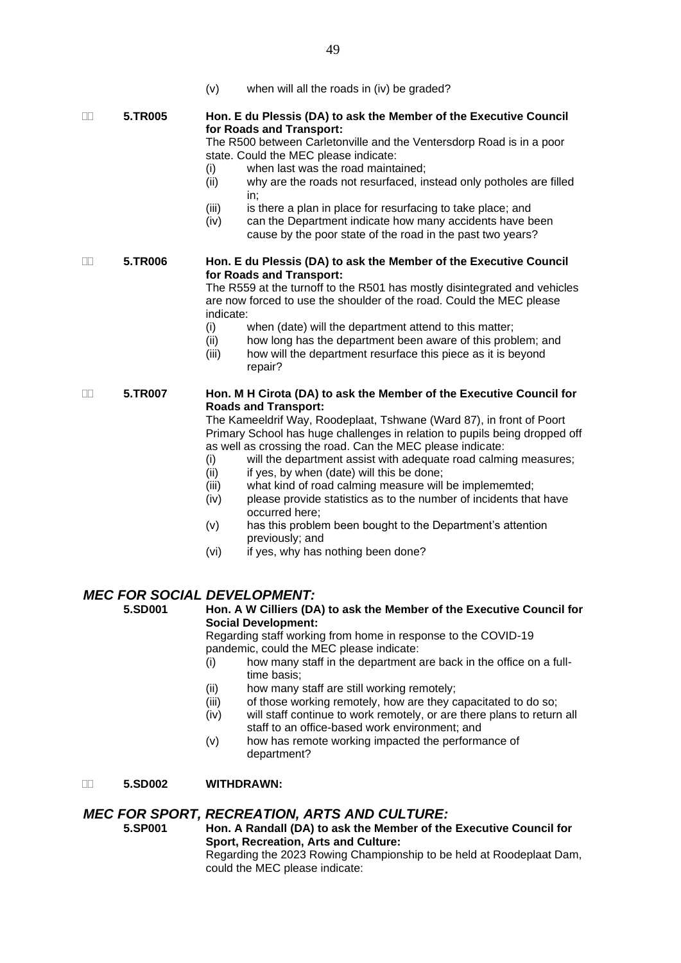(v) when will all the roads in (iv) be graded?

### **5.TR005 Hon. E du Plessis (DA) to ask the Member of the Executive Council for Roads and Transport:**

The R500 between Carletonville and the Ventersdorp Road is in a poor state. Could the MEC please indicate:

- (i) when last was the road maintained;
- (ii) why are the roads not resurfaced, instead only potholes are filled in;
- (iii) is there a plan in place for resurfacing to take place; and
- (iv) can the Department indicate how many accidents have been cause by the poor state of the road in the past two years?

# **5.TR006 Hon. E du Plessis (DA) to ask the Member of the Executive Council for Roads and Transport:**

The R559 at the turnoff to the R501 has mostly disintegrated and vehicles are now forced to use the shoulder of the road. Could the MEC please indicate:

- (i) when (date) will the department attend to this matter;
- (ii) how long has the department been aware of this problem; and
- (iii) how will the department resurface this piece as it is beyond repair?

## **5.TR007 Hon. M H Cirota (DA) to ask the Member of the Executive Council for Roads and Transport:**

The Kameeldrif Way, Roodeplaat, Tshwane (Ward 87), in front of Poort Primary School has huge challenges in relation to pupils being dropped off as well as crossing the road. Can the MEC please indicate:

- (i) will the department assist with adequate road calming measures;
- (ii) if yes, by when (date) will this be done;
- (iii) what kind of road calming measure will be implememted;
- (iv) please provide statistics as to the number of incidents that have occurred here;
- (v) has this problem been bought to the Department's attention previously; and
- (vi) if yes, why has nothing been done?

# *MEC FOR SOCIAL DEVELOPMENT:*

# **5.SD001 Hon. A W Cilliers (DA) to ask the Member of the Executive Council for Social Development:**

Regarding staff working from home in response to the COVID-19 pandemic, could the MEC please indicate:

- (i) how many staff in the department are back in the office on a fulltime basis;
- (ii) how many staff are still working remotely;
- (iii) of those working remotely, how are they capacitated to do so;
- (iv) will staff continue to work remotely, or are there plans to return all staff to an office-based work environment; and
- (v) how has remote working impacted the performance of department?

# **5.SD002 WITHDRAWN:**

# *MEC FOR SPORT, RECREATION, ARTS AND CULTURE:*

**5.SP001 Hon. A Randall (DA) to ask the Member of the Executive Council for Sport, Recreation, Arts and Culture:**

Regarding the 2023 Rowing Championship to be held at Roodeplaat Dam, could the MEC please indicate: